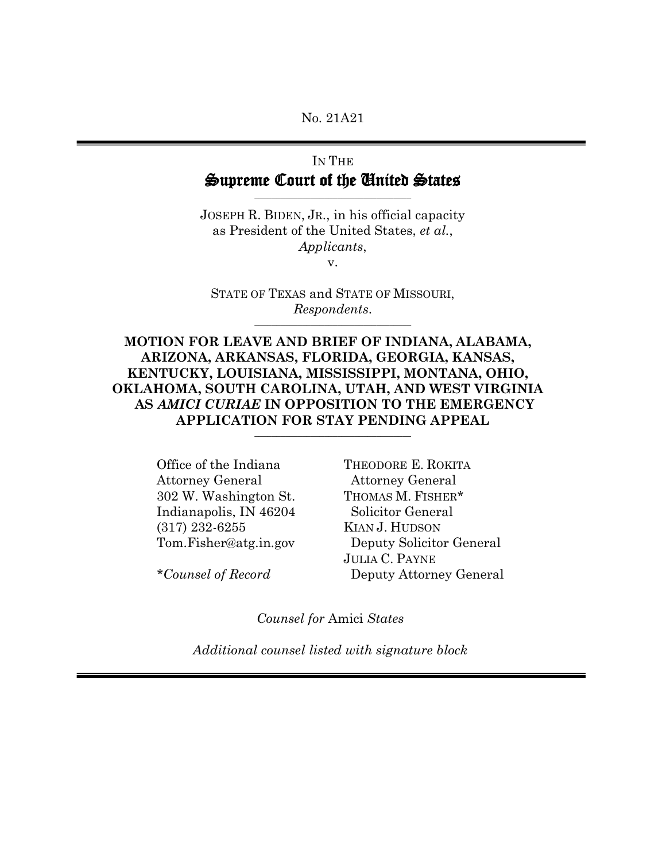No. 21A21

# IN THE Supreme Court of the United States

\_\_\_\_\_\_\_\_\_\_\_\_\_\_\_\_\_\_\_\_\_\_\_\_\_\_\_\_\_\_\_\_\_\_\_\_

JOSEPH R. BIDEN, JR., in his official capacity as President of the United States, *et al.*, *Applicants*,

v.

STATE OF TEXAS and STATE OF MISSOURI, *Respondents*.

**MOTION FOR LEAVE AND BRIEF OF INDIANA, ALABAMA, ARIZONA, ARKANSAS, FLORIDA, GEORGIA, KANSAS, KENTUCKY, LOUISIANA, MISSISSIPPI, MONTANA, OHIO, OKLAHOMA, SOUTH CAROLINA, UTAH, AND WEST VIRGINIA AS** *AMICI CURIAE* **IN OPPOSITION TO THE EMERGENCY APPLICATION FOR STAY PENDING APPEAL**

**\_\_\_\_\_\_\_\_\_\_\_\_\_\_\_\_\_\_\_\_\_\_\_\_\_\_\_\_\_\_\_\_\_\_\_\_**

Office of the Indiana Attorney General 302 W. Washington St. Indianapolis, IN 46204 (317) 232-6255 Tom.Fisher@atg.in.gov

*\*Counsel of Record*

THEODORE E. ROKITA Attorney General THOMAS M. FISHER\* Solicitor General KIAN J. HUDSON Deputy Solicitor General JULIA C. PAYNE Deputy Attorney General

*Counsel for* Amici *States*

*Additional counsel listed with signature block*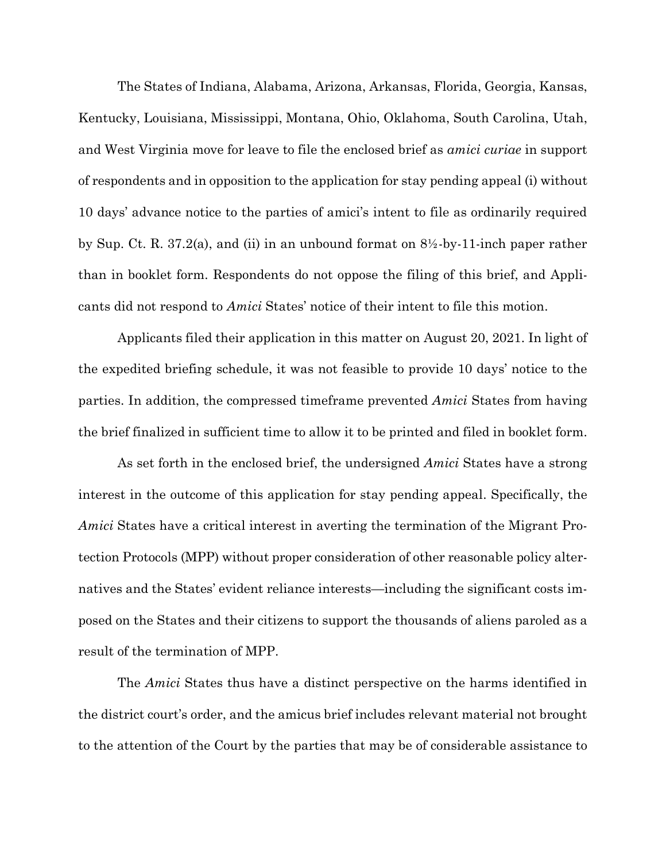The States of Indiana, Alabama, Arizona, Arkansas, Florida, Georgia, Kansas, Kentucky, Louisiana, Mississippi, Montana, Ohio, Oklahoma, South Carolina, Utah, and West Virginia move for leave to file the enclosed brief as *amici curiae* in support of respondents and in opposition to the application for stay pending appeal (i) without 10 days' advance notice to the parties of amici's intent to file as ordinarily required by Sup. Ct. R. 37.2(a), and (ii) in an unbound format on 8½-by-11-inch paper rather than in booklet form. Respondents do not oppose the filing of this brief, and Applicants did not respond to *Amici* States' notice of their intent to file this motion.

Applicants filed their application in this matter on August 20, 2021. In light of the expedited briefing schedule, it was not feasible to provide 10 days' notice to the parties. In addition, the compressed timeframe prevented *Amici* States from having the brief finalized in sufficient time to allow it to be printed and filed in booklet form.

As set forth in the enclosed brief, the undersigned *Amici* States have a strong interest in the outcome of this application for stay pending appeal. Specifically, the *Amici* States have a critical interest in averting the termination of the Migrant Protection Protocols (MPP) without proper consideration of other reasonable policy alternatives and the States' evident reliance interests—including the significant costs imposed on the States and their citizens to support the thousands of aliens paroled as a result of the termination of MPP.

The *Amici* States thus have a distinct perspective on the harms identified in the district court's order, and the amicus brief includes relevant material not brought to the attention of the Court by the parties that may be of considerable assistance to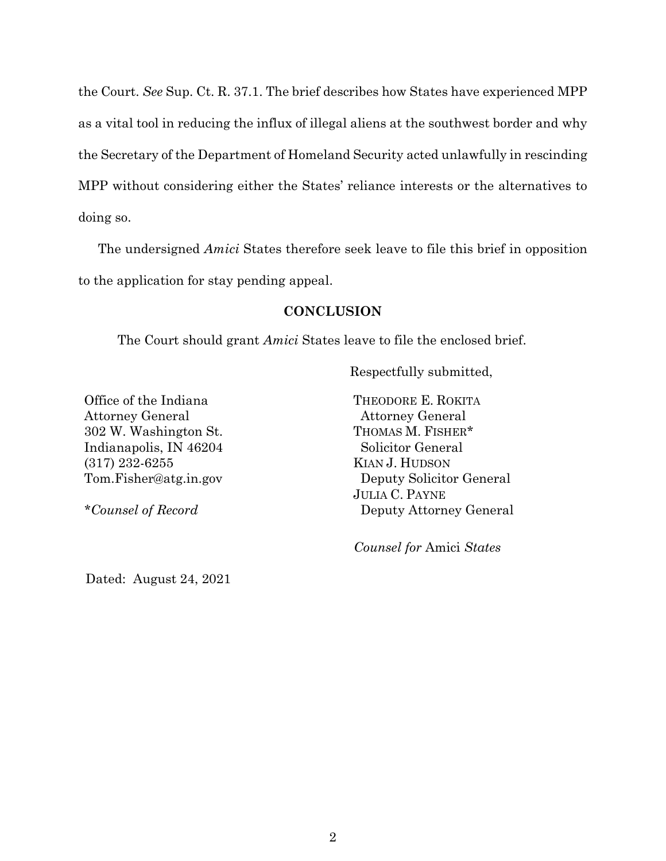the Court. *See* Sup. Ct. R. 37.1. The brief describes how States have experienced MPP as a vital tool in reducing the influx of illegal aliens at the southwest border and why the Secretary of the Department of Homeland Security acted unlawfully in rescinding MPP without considering either the States' reliance interests or the alternatives to doing so.

The undersigned *Amici* States therefore seek leave to file this brief in opposition to the application for stay pending appeal.

### **CONCLUSION**

The Court should grant *Amici* States leave to file the enclosed brief.

Respectfully submitted,

Office of the Indiana Attorney General 302 W. Washington St. Indianapolis, IN 46204 (317) 232-6255 Tom.Fisher@atg.in.gov

*\*Counsel of Record*

THEODORE E. ROKITA Attorney General THOMAS M. FISHER\* Solicitor General KIAN J. HUDSON Deputy Solicitor General JULIA C. PAYNE Deputy Attorney General

 *Counsel for* Amici *States*

Dated: August 24, 2021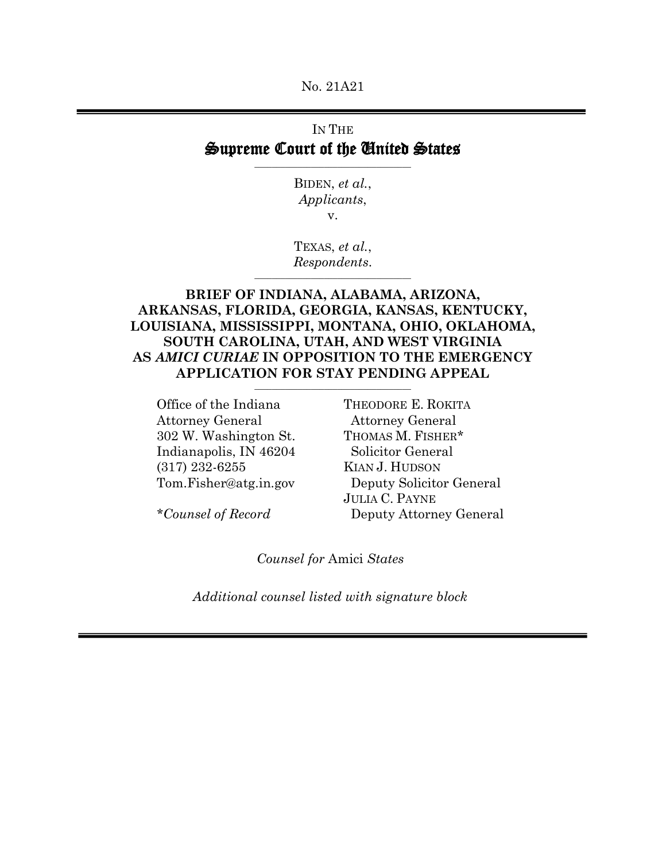No. 21A21

## IN THE Supreme Court of the United States

BIDEN, *et al.*, *Applicants*, v.

TEXAS, *et al.*, *Respondents*. \_\_\_\_\_\_\_\_\_\_\_\_\_\_\_\_\_\_\_\_\_\_\_\_\_\_\_\_\_\_\_\_\_\_\_\_

## **BRIEF OF INDIANA, ALABAMA, ARIZONA, ARKANSAS, FLORIDA, GEORGIA, KANSAS, KENTUCKY, LOUISIANA, MISSISSIPPI, MONTANA, OHIO, OKLAHOMA, SOUTH CAROLINA, UTAH, AND WEST VIRGINIA AS** *AMICI CURIAE* **IN OPPOSITION TO THE EMERGENCY APPLICATION FOR STAY PENDING APPEAL \_\_\_\_\_\_\_\_\_\_\_\_\_\_\_\_\_\_\_\_\_\_\_\_\_\_\_\_\_\_\_\_\_\_\_\_**

Office of the Indiana Attorney General 302 W. Washington St. Indianapolis, IN 46204 (317) 232-6255 Tom.Fisher@atg.in.gov THEODORE E. ROKITA Attorney General THOMAS M. FISHER\* Solicitor General KIAN J. HUDSON Deputy Solicitor General JULIA C. PAYNE Deputy Attorney General

*\*Counsel of Record*

*Counsel for* Amici *States*

*Additional counsel listed with signature block*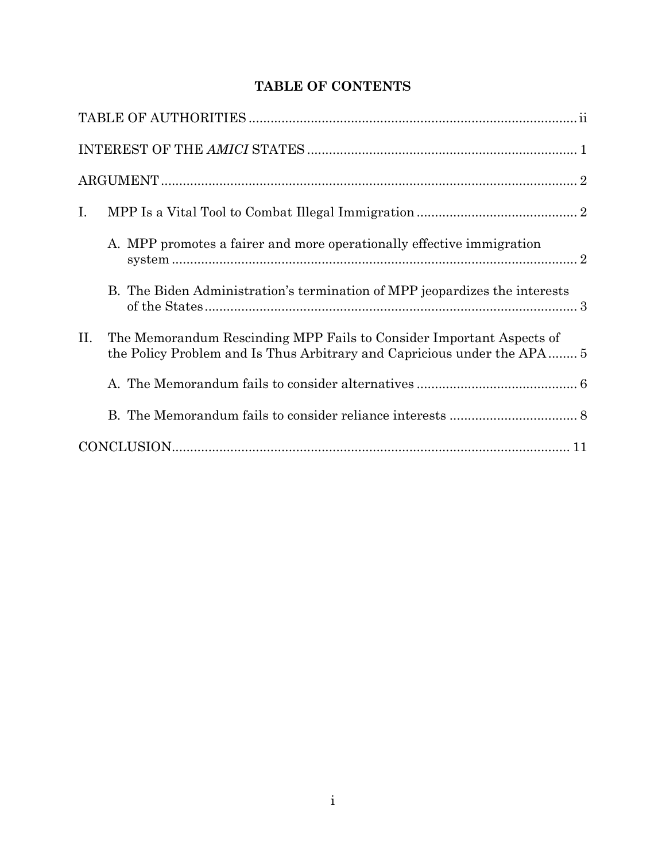# **TABLE OF CONTENTS**

| Ι.  |                                                                                                                                                 |  |
|-----|-------------------------------------------------------------------------------------------------------------------------------------------------|--|
|     | A. MPP promotes a fairer and more operationally effective immigration                                                                           |  |
|     | B. The Biden Administration's termination of MPP jeopardizes the interests                                                                      |  |
| II. | The Memorandum Rescinding MPP Fails to Consider Important Aspects of<br>the Policy Problem and Is Thus Arbitrary and Capricious under the APA 5 |  |
|     |                                                                                                                                                 |  |
|     |                                                                                                                                                 |  |
|     |                                                                                                                                                 |  |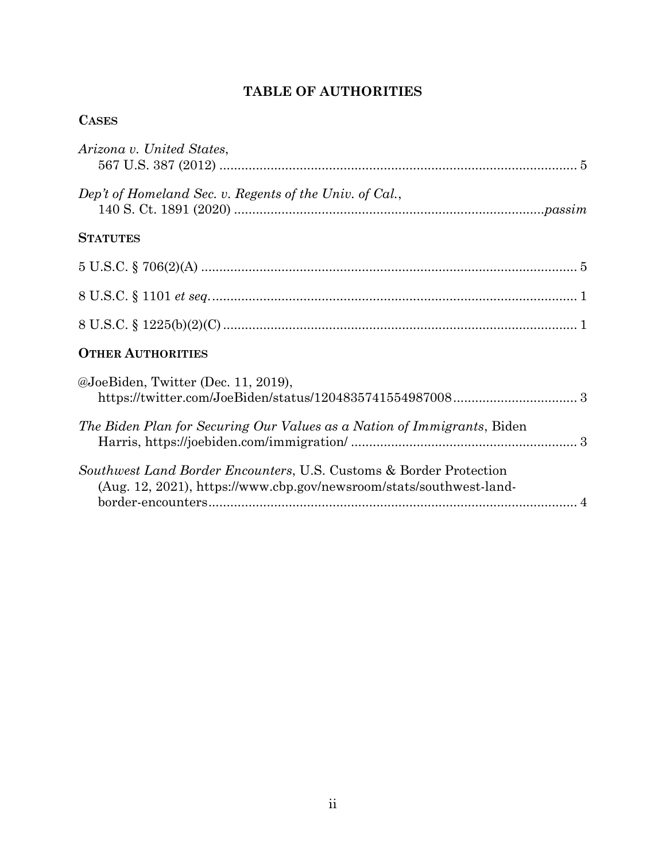# **TABLE OF AUTHORITIES**

## **CASES**

| Arizona v. United States,                                                                                                                 |
|-------------------------------------------------------------------------------------------------------------------------------------------|
| Dep't of Homeland Sec. v. Regents of the Univ. of Cal.,                                                                                   |
| <b>STATUTES</b>                                                                                                                           |
|                                                                                                                                           |
|                                                                                                                                           |
|                                                                                                                                           |
| <b>OTHER AUTHORITIES</b>                                                                                                                  |
| @JoeBiden, Twitter (Dec. 11, 2019),<br>${\tt \textbf{https://twitter.com/JoeBiden/status/1204835741554987008}3}$                          |
| The Biden Plan for Securing Our Values as a Nation of Immigrants, Biden                                                                   |
| Southwest Land Border Encounters, U.S. Customs & Border Protection<br>(Aug. 12, 2021), https://www.cbp.gov/newsroom/stats/southwest-land- |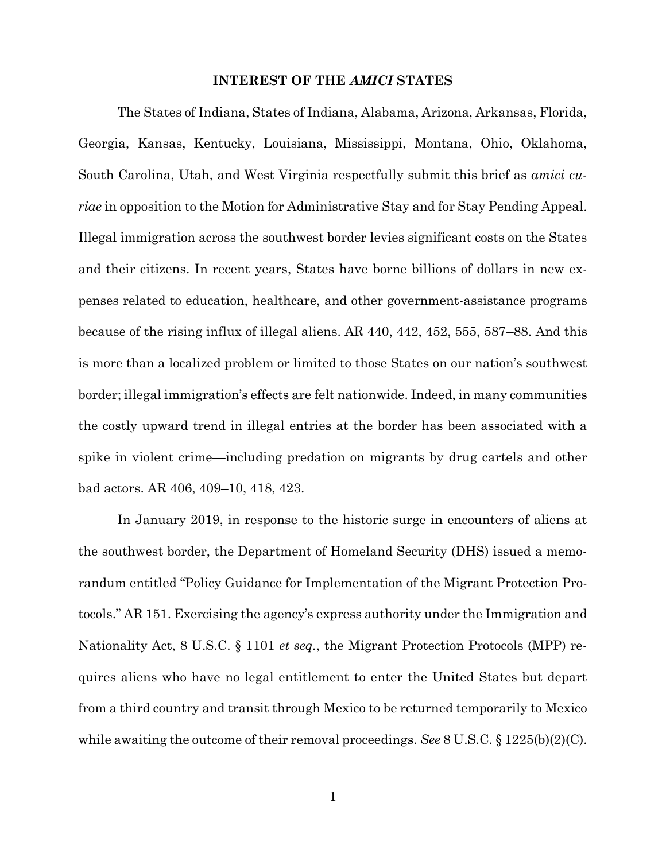#### **INTEREST OF THE** *AMICI* **STATES**

The States of Indiana, States of Indiana, Alabama, Arizona, Arkansas, Florida, Georgia, Kansas, Kentucky, Louisiana, Mississippi, Montana, Ohio, Oklahoma, South Carolina, Utah, and West Virginia respectfully submit this brief as *amici curiae* in opposition to the Motion for Administrative Stay and for Stay Pending Appeal. Illegal immigration across the southwest border levies significant costs on the States and their citizens. In recent years, States have borne billions of dollars in new expenses related to education, healthcare, and other government-assistance programs because of the rising influx of illegal aliens. AR 440, 442, 452, 555, 587–88. And this is more than a localized problem or limited to those States on our nation's southwest border; illegal immigration's effects are felt nationwide. Indeed, in many communities the costly upward trend in illegal entries at the border has been associated with a spike in violent crime—including predation on migrants by drug cartels and other bad actors. AR 406, 409–10, 418, 423.

<span id="page-6-1"></span><span id="page-6-0"></span>In January 2019, in response to the historic surge in encounters of aliens at the southwest border, the Department of Homeland Security (DHS) issued a memorandum entitled "Policy Guidance for Implementation of the Migrant Protection Protocols." AR 151. Exercising the agency's express authority under the Immigration and Nationality Act, 8 U.S.C. § 1101 *et seq.*, the Migrant Protection Protocols (MPP) requires aliens who have no legal entitlement to enter the United States but depart from a third country and transit through Mexico to be returned temporarily to Mexico while awaiting the outcome of their removal proceedings. *See* 8 U.S.C. § 1225(b)(2)(C).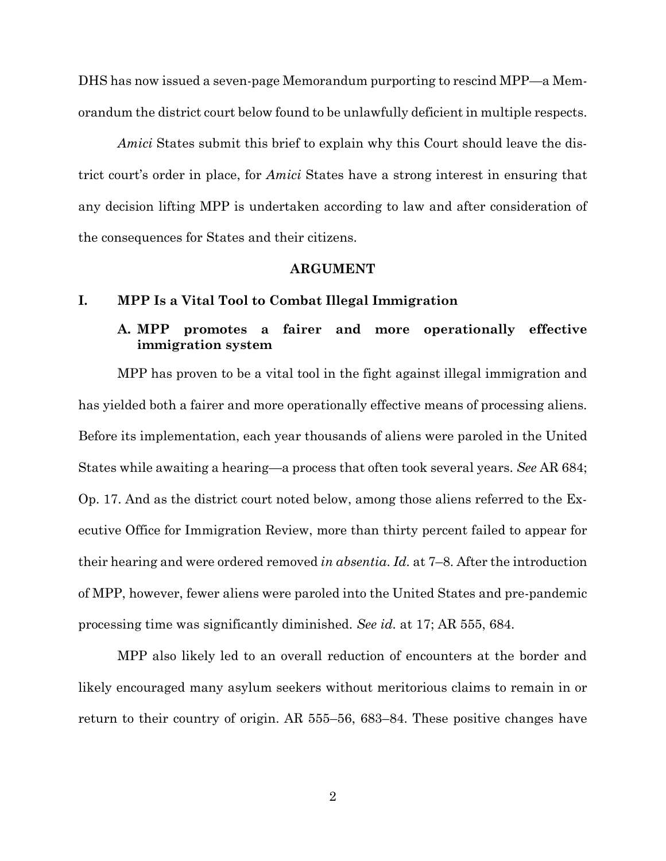DHS has now issued a seven-page Memorandum purporting to rescind MPP—a Memorandum the district court below found to be unlawfully deficient in multiple respects.

*Amici* States submit this brief to explain why this Court should leave the district court's order in place, for *Amici* States have a strong interest in ensuring that any decision lifting MPP is undertaken according to law and after consideration of the consequences for States and their citizens.

#### **ARGUMENT**

#### **I. MPP Is a Vital Tool to Combat Illegal Immigration**

## **A. MPP promotes a fairer and more operationally effective immigration system**

MPP has proven to be a vital tool in the fight against illegal immigration and has yielded both a fairer and more operationally effective means of processing aliens. Before its implementation, each year thousands of aliens were paroled in the United States while awaiting a hearing—a process that often took several years. *See* AR 684; Op. 17. And as the district court noted below, among those aliens referred to the Executive Office for Immigration Review, more than thirty percent failed to appear for their hearing and were ordered removed *in absentia*. *Id.* at 7–8. After the introduction of MPP, however, fewer aliens were paroled into the United States and pre-pandemic processing time was significantly diminished. *See id.* at 17; AR 555, 684.

MPP also likely led to an overall reduction of encounters at the border and likely encouraged many asylum seekers without meritorious claims to remain in or return to their country of origin. AR 555–56, 683–84. These positive changes have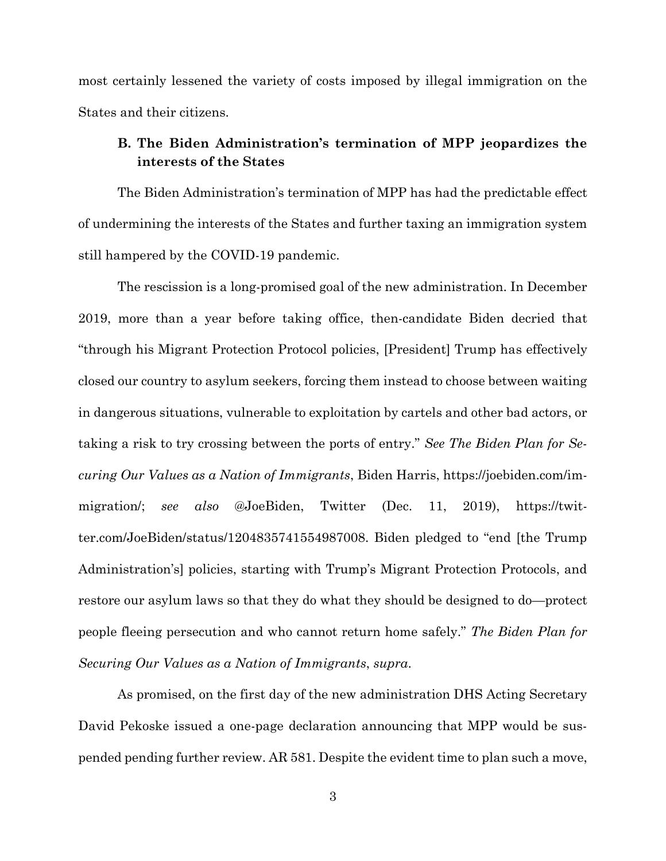most certainly lessened the variety of costs imposed by illegal immigration on the States and their citizens.

## **B. The Biden Administration's termination of MPP jeopardizes the interests of the States**

The Biden Administration's termination of MPP has had the predictable effect of undermining the interests of the States and further taxing an immigration system still hampered by the COVID-19 pandemic.

<span id="page-8-1"></span>The rescission is a long-promised goal of the new administration. In December 2019, more than a year before taking office, then-candidate Biden decried that "through his Migrant Protection Protocol policies, [President] Trump has effectively closed our country to asylum seekers, forcing them instead to choose between waiting in dangerous situations, vulnerable to exploitation by cartels and other bad actors, or taking a risk to try crossing between the ports of entry." *See The Biden Plan for Securing Our Values as a Nation of Immigrants*, Biden Harris, https://joebiden.com/immigration/; *see also* @JoeBiden, Twitter (Dec. 11, 2019), https://twitter.com/JoeBiden/status/1204835741554987008. Biden pledged to "end [the Trump Administration's] policies, starting with Trump's Migrant Protection Protocols, and restore our asylum laws so that they do what they should be designed to do—protect people fleeing persecution and who cannot return home safely." *The Biden Plan for Securing Our Values as a Nation of Immigrants*, *supra*.

<span id="page-8-0"></span>As promised, on the first day of the new administration DHS Acting Secretary David Pekoske issued a one-page declaration announcing that MPP would be suspended pending further review. AR 581. Despite the evident time to plan such a move,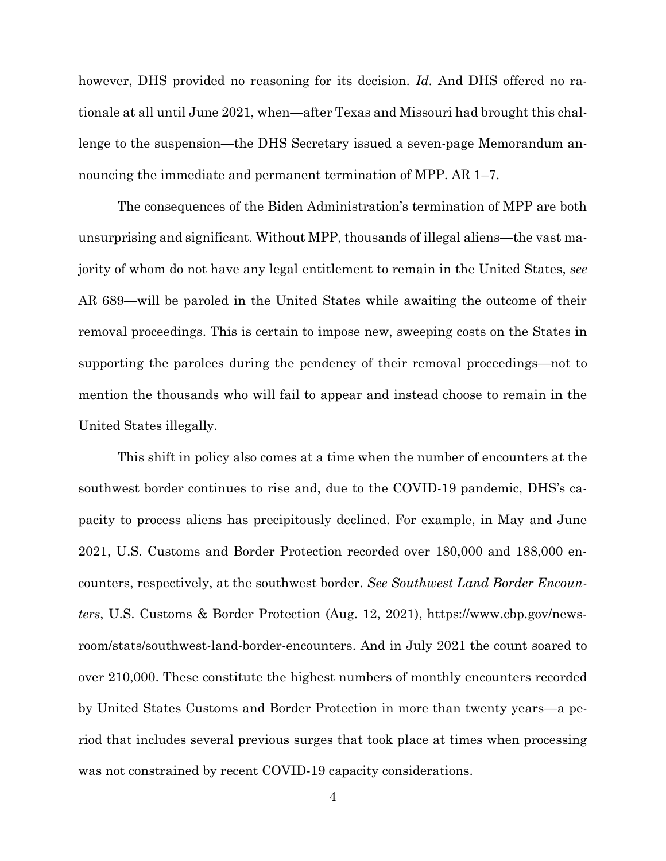however, DHS provided no reasoning for its decision. *Id.* And DHS offered no rationale at all until June 2021, when—after Texas and Missouri had brought this challenge to the suspension—the DHS Secretary issued a seven-page Memorandum announcing the immediate and permanent termination of MPP. AR 1–7.

The consequences of the Biden Administration's termination of MPP are both unsurprising and significant. Without MPP, thousands of illegal aliens—the vast majority of whom do not have any legal entitlement to remain in the United States, *see*  AR 689—will be paroled in the United States while awaiting the outcome of their removal proceedings. This is certain to impose new, sweeping costs on the States in supporting the parolees during the pendency of their removal proceedings—not to mention the thousands who will fail to appear and instead choose to remain in the United States illegally.

<span id="page-9-0"></span>This shift in policy also comes at a time when the number of encounters at the southwest border continues to rise and, due to the COVID-19 pandemic, DHS's capacity to process aliens has precipitously declined. For example, in May and June 2021, U.S. Customs and Border Protection recorded over 180,000 and 188,000 encounters, respectively, at the southwest border. *See Southwest Land Border Encounters*, U.S. Customs & Border Protection (Aug. 12, 2021), https://www.cbp.gov/newsroom/stats/southwest-land-border-encounters. And in July 2021 the count soared to over 210,000. These constitute the highest numbers of monthly encounters recorded by United States Customs and Border Protection in more than twenty years—a period that includes several previous surges that took place at times when processing was not constrained by recent COVID-19 capacity considerations.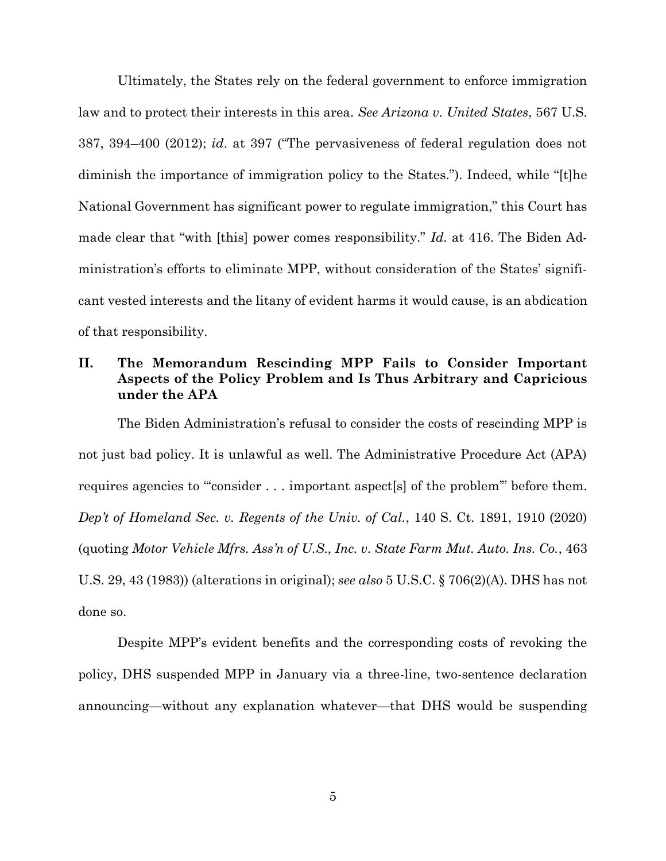<span id="page-10-0"></span>Ultimately, the States rely on the federal government to enforce immigration law and to protect their interests in this area. *See Arizona v. United States*, 567 U.S. 387, 394–400 (2012); *id*. at 397 ("The pervasiveness of federal regulation does not diminish the importance of immigration policy to the States."). Indeed, while "[t]he National Government has significant power to regulate immigration," this Court has made clear that "with [this] power comes responsibility." *Id.* at 416. The Biden Administration's efforts to eliminate MPP, without consideration of the States' significant vested interests and the litany of evident harms it would cause, is an abdication of that responsibility.

## **II. The Memorandum Rescinding MPP Fails to Consider Important Aspects of the Policy Problem and Is Thus Arbitrary and Capricious under the APA**

<span id="page-10-1"></span>The Biden Administration's refusal to consider the costs of rescinding MPP is not just bad policy. It is unlawful as well. The Administrative Procedure Act (APA) requires agencies to "'consider . . . important aspect[s] of the problem'" before them. *Dep't of Homeland Sec. v. Regents of the Univ. of Cal.*, 140 S. Ct. 1891, 1910 (2020) (quoting *Motor Vehicle Mfrs. Ass'n of U.S., Inc. v. State Farm Mut. Auto. Ins. Co.*, 463 U.S. 29, 43 (1983)) (alterations in original); *see also* 5 U.S.C. § 706(2)(A). DHS has not done so.

<span id="page-10-2"></span>Despite MPP's evident benefits and the corresponding costs of revoking the policy, DHS suspended MPP in January via a three-line, two-sentence declaration announcing—without any explanation whatever—that DHS would be suspending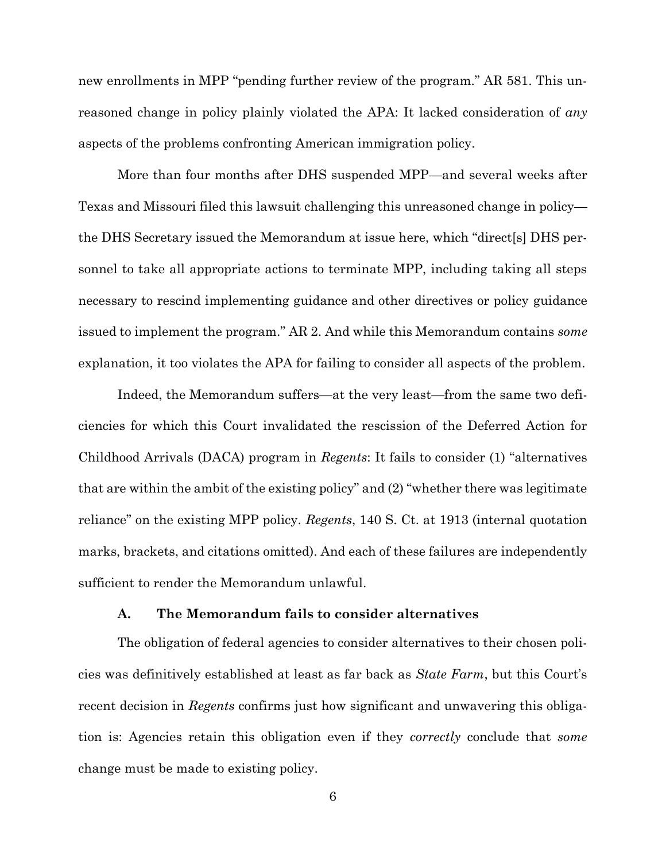new enrollments in MPP "pending further review of the program." AR 581. This unreasoned change in policy plainly violated the APA: It lacked consideration of *any* aspects of the problems confronting American immigration policy.

More than four months after DHS suspended MPP—and several weeks after Texas and Missouri filed this lawsuit challenging this unreasoned change in policy the DHS Secretary issued the Memorandum at issue here, which "direct[s] DHS personnel to take all appropriate actions to terminate MPP, including taking all steps necessary to rescind implementing guidance and other directives or policy guidance issued to implement the program." AR 2. And while this Memorandum contains *some* explanation, it too violates the APA for failing to consider all aspects of the problem.

Indeed, the Memorandum suffers—at the very least—from the same two deficiencies for which this Court invalidated the rescission of the Deferred Action for Childhood Arrivals (DACA) program in *Regents*: It fails to consider (1) "alternatives that are within the ambit of the existing policy" and (2) "whether there was legitimate reliance" on the existing MPP policy. *Regents*, 140 S. Ct. at 1913 (internal quotation marks, brackets, and citations omitted). And each of these failures are independently sufficient to render the Memorandum unlawful.

#### **A. The Memorandum fails to consider alternatives**

The obligation of federal agencies to consider alternatives to their chosen policies was definitively established at least as far back as *State Farm*, but this Court's recent decision in *Regents* confirms just how significant and unwavering this obligation is: Agencies retain this obligation even if they *correctly* conclude that *some*  change must be made to existing policy.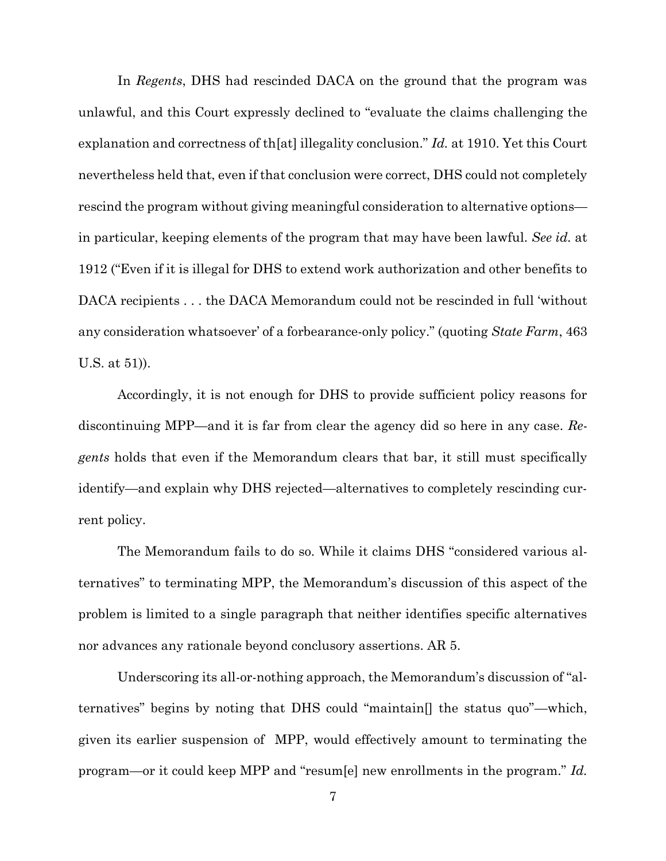In *Regents*, DHS had rescinded DACA on the ground that the program was unlawful, and this Court expressly declined to "evaluate the claims challenging the explanation and correctness of th[at] illegality conclusion." *Id.* at 1910. Yet this Court nevertheless held that, even if that conclusion were correct, DHS could not completely rescind the program without giving meaningful consideration to alternative options in particular, keeping elements of the program that may have been lawful. *See id.* at 1912 ("Even if it is illegal for DHS to extend work authorization and other benefits to DACA recipients . . . the DACA Memorandum could not be rescinded in full 'without any consideration whatsoever' of a forbearance-only policy." (quoting *State Farm*, 463 U.S. at 51)).

Accordingly, it is not enough for DHS to provide sufficient policy reasons for discontinuing MPP—and it is far from clear the agency did so here in any case. *Regents* holds that even if the Memorandum clears that bar, it still must specifically identify—and explain why DHS rejected—alternatives to completely rescinding current policy.

The Memorandum fails to do so. While it claims DHS "considered various alternatives" to terminating MPP, the Memorandum's discussion of this aspect of the problem is limited to a single paragraph that neither identifies specific alternatives nor advances any rationale beyond conclusory assertions. AR 5.

Underscoring its all-or-nothing approach, the Memorandum's discussion of "alternatives" begins by noting that DHS could "maintain[] the status quo"—which, given its earlier suspension of MPP, would effectively amount to terminating the program—or it could keep MPP and "resum[e] new enrollments in the program." *Id.*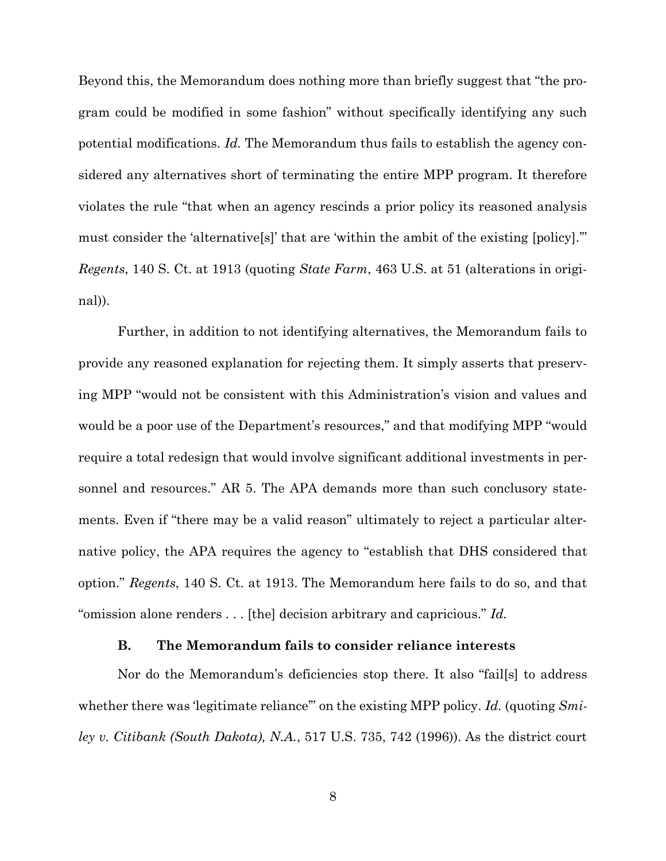Beyond this, the Memorandum does nothing more than briefly suggest that "the program could be modified in some fashion" without specifically identifying any such potential modifications. *Id.* The Memorandum thus fails to establish the agency considered any alternatives short of terminating the entire MPP program. It therefore violates the rule "that when an agency rescinds a prior policy its reasoned analysis must consider the 'alternative[s]' that are 'within the ambit of the existing [policy].'" *Regents*, 140 S. Ct. at 1913 (quoting *State Farm*, 463 U.S. at 51 (alterations in original)).

Further, in addition to not identifying alternatives, the Memorandum fails to provide any reasoned explanation for rejecting them. It simply asserts that preserving MPP "would not be consistent with this Administration's vision and values and would be a poor use of the Department's resources," and that modifying MPP "would" require a total redesign that would involve significant additional investments in personnel and resources." AR 5. The APA demands more than such conclusory statements. Even if "there may be a valid reason" ultimately to reject a particular alternative policy, the APA requires the agency to "establish that DHS considered that option." *Regents*, 140 S. Ct. at 1913. The Memorandum here fails to do so, and that "omission alone renders . . . [the] decision arbitrary and capricious." *Id.*

### **B. The Memorandum fails to consider reliance interests**

Nor do the Memorandum's deficiencies stop there. It also "fail[s] to address whether there was 'legitimate reliance'" on the existing MPP policy. *Id.* (quoting *Smiley v. Citibank (South Dakota), N.A.*, 517 U.S. 735, 742 (1996)). As the district court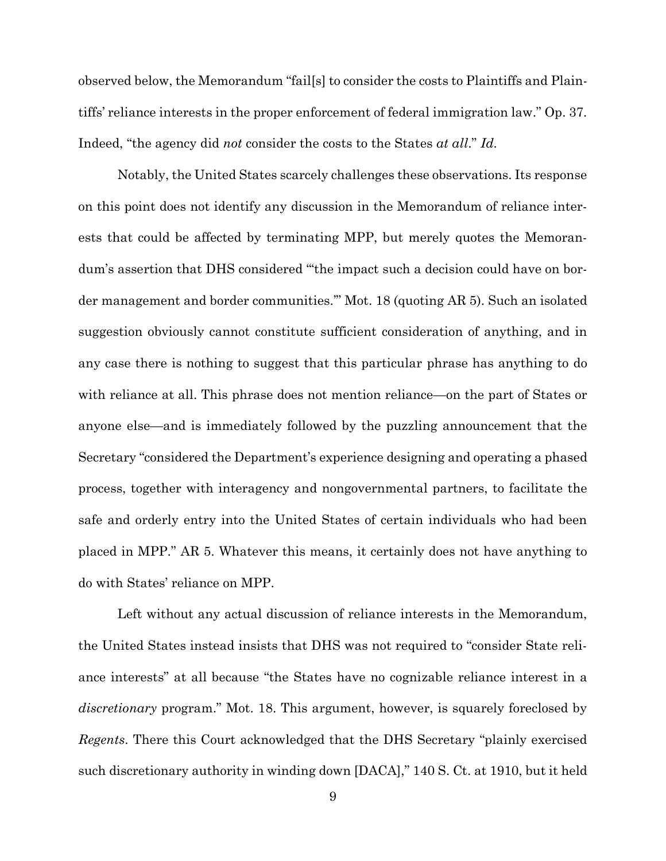observed below, the Memorandum "fail[s] to consider the costs to Plaintiffs and Plaintiffs' reliance interests in the proper enforcement of federal immigration law." Op. 37. Indeed, "the agency did *not* consider the costs to the States *at all*." *Id.*

Notably, the United States scarcely challenges these observations. Its response on this point does not identify any discussion in the Memorandum of reliance interests that could be affected by terminating MPP, but merely quotes the Memorandum's assertion that DHS considered "'the impact such a decision could have on border management and border communities.'" Mot. 18 (quoting AR 5). Such an isolated suggestion obviously cannot constitute sufficient consideration of anything, and in any case there is nothing to suggest that this particular phrase has anything to do with reliance at all. This phrase does not mention reliance—on the part of States or anyone else—and is immediately followed by the puzzling announcement that the Secretary "considered the Department's experience designing and operating a phased process, together with interagency and nongovernmental partners, to facilitate the safe and orderly entry into the United States of certain individuals who had been placed in MPP." AR 5. Whatever this means, it certainly does not have anything to do with States' reliance on MPP.

Left without any actual discussion of reliance interests in the Memorandum, the United States instead insists that DHS was not required to "consider State reliance interests" at all because "the States have no cognizable reliance interest in a *discretionary* program." Mot. 18. This argument, however, is squarely foreclosed by *Regents*. There this Court acknowledged that the DHS Secretary "plainly exercised such discretionary authority in winding down [DACA]," 140 S. Ct. at 1910, but it held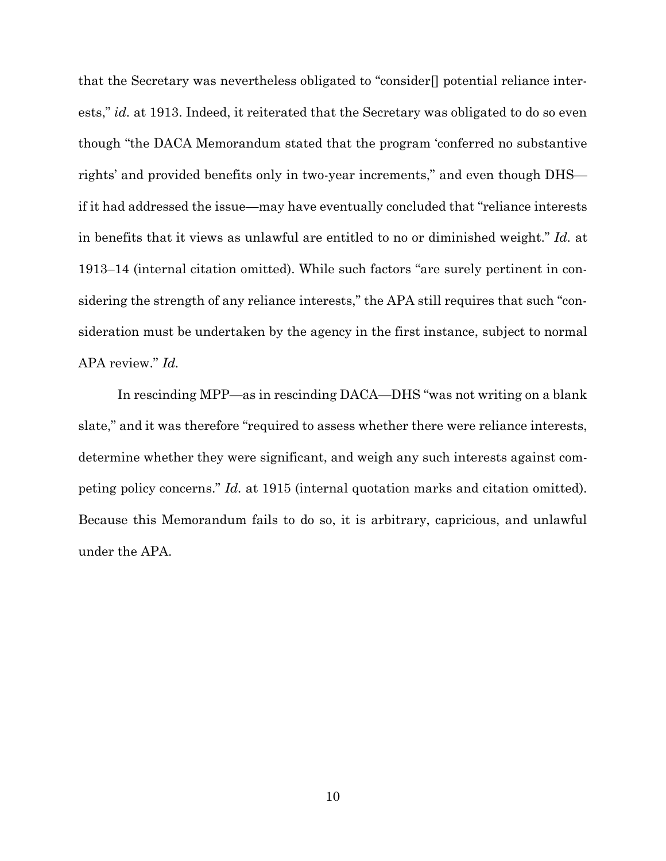that the Secretary was nevertheless obligated to "consider[] potential reliance interests," *id.* at 1913. Indeed, it reiterated that the Secretary was obligated to do so even though "the DACA Memorandum stated that the program 'conferred no substantive rights' and provided benefits only in two-year increments," and even though DHS if it had addressed the issue—may have eventually concluded that "reliance interests in benefits that it views as unlawful are entitled to no or diminished weight." *Id.* at 1913–14 (internal citation omitted). While such factors "are surely pertinent in considering the strength of any reliance interests," the APA still requires that such "consideration must be undertaken by the agency in the first instance, subject to normal APA review." *Id.*

In rescinding MPP—as in rescinding DACA—DHS "was not writing on a blank slate," and it was therefore "required to assess whether there were reliance interests, determine whether they were significant, and weigh any such interests against competing policy concerns." *Id.* at 1915 (internal quotation marks and citation omitted). Because this Memorandum fails to do so, it is arbitrary, capricious, and unlawful under the APA.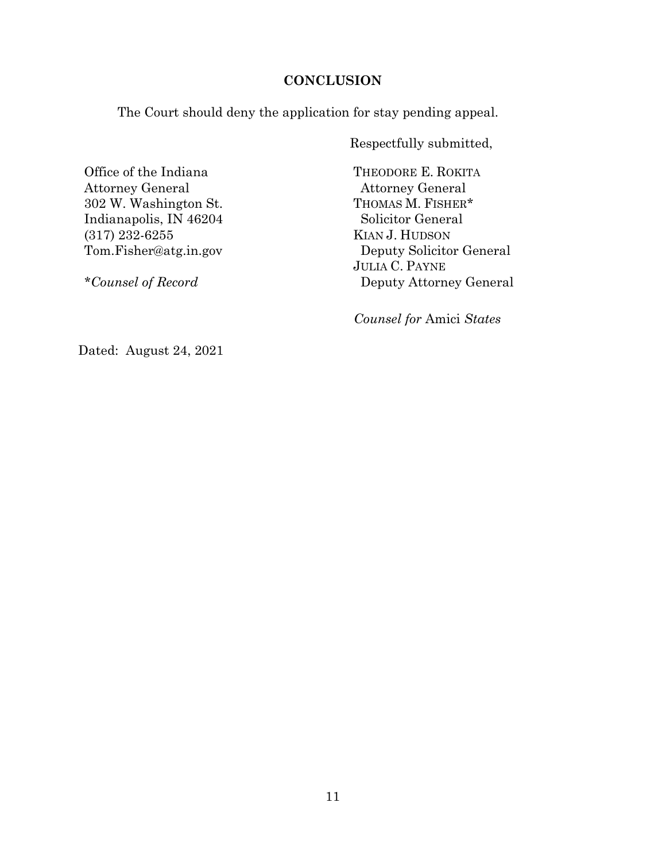## **CONCLUSION**

The Court should deny the application for stay pending appeal.

Respectfully submitted,

Office of the Indiana Attorney General 302 W. Washington St. Indianapolis, IN 46204 (317) 232-6255 Tom.Fisher@atg.in.gov

*\*Counsel of Record*

THEODORE E. ROKITA Attorney General THOMAS M. FISHER\* Solicitor General KIAN J. HUDSON Deputy Solicitor General JULIA C. PAYNE Deputy Attorney General

 *Counsel for* Amici *States*

Dated: August 24, 2021